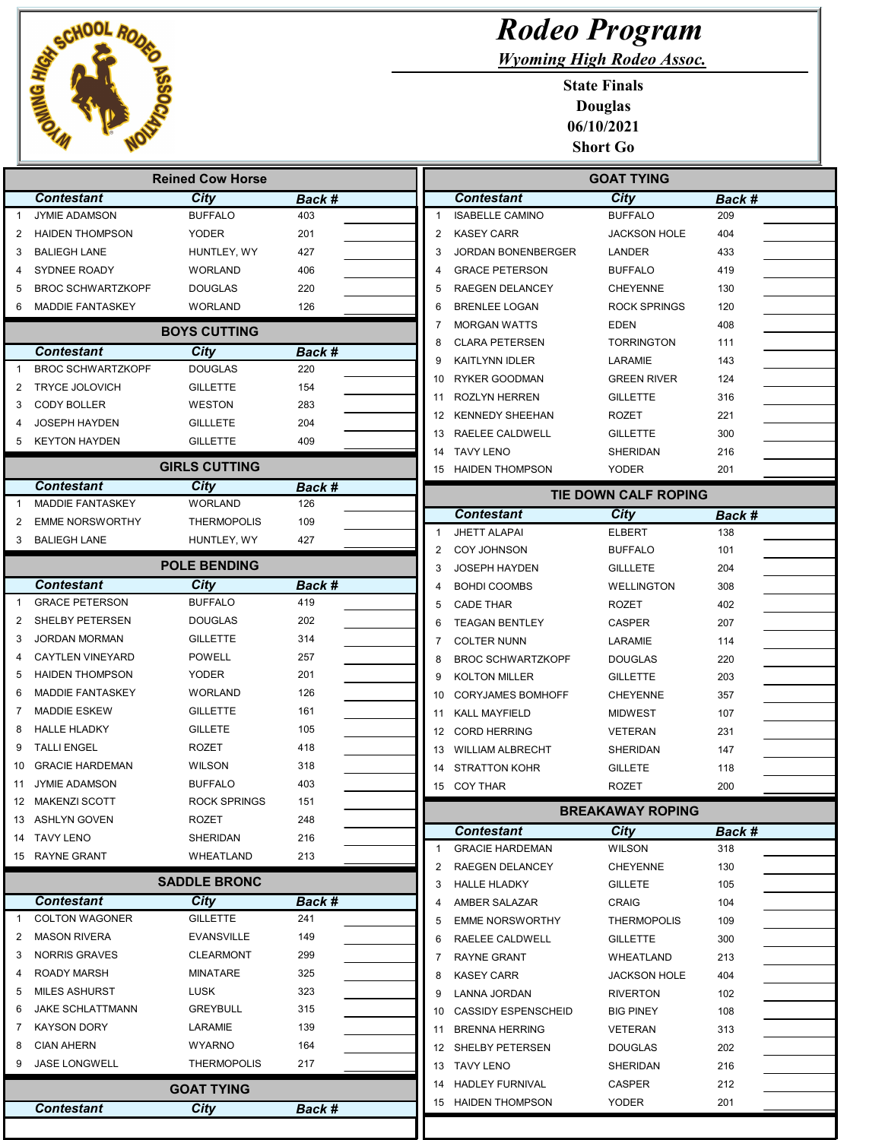

|                |                          | <b>Reined Cow Horse</b> |               |                         |                             |
|----------------|--------------------------|-------------------------|---------------|-------------------------|-----------------------------|
|                | <b>Contestant</b>        | City                    | Back #        |                         | Cont                        |
| $\mathbf{1}$   | <b>JYMIE ADAMSON</b>     | <b>BUFFALO</b>          | 403           | 1                       | <b>ISABE</b>                |
| $\overline{2}$ | <b>HAIDEN THOMPSON</b>   | <b>YODER</b>            | 201           | $\overline{2}$          | <b>KASE</b>                 |
| 3              | <b>BALIEGH LANE</b>      | HUNTLEY, WY             | 427           | 3                       | JORD.                       |
| 4              | SYDNEE ROADY             | WORLAND                 | 406           | $\overline{\mathbf{4}}$ | <b>GRAC</b>                 |
| 5              | <b>BROC SCHWARTZKOPF</b> | <b>DOUGLAS</b>          | 220           | 5                       | <b>RAEG</b>                 |
| 6              | <b>MADDIE FANTASKEY</b>  | WORLAND                 | 126           | 6                       | <b>BREN</b>                 |
|                |                          | <b>BOYS CUTTING</b>     |               | 7                       | <b>MORG</b>                 |
|                | <b>Contestant</b>        | City                    | <b>Back #</b> | 8<br>9                  | <b>CLAR</b>                 |
| $\mathbf{1}$   | <b>BROC SCHWARTZKOPF</b> | <b>DOUGLAS</b>          | 220           |                         | <b>KAITL</b>                |
| 2              | <b>TRYCE JOLOVICH</b>    | <b>GILLETTE</b>         | 154           | 10                      | <b>RYKE</b>                 |
| 3              | <b>CODY BOLLER</b>       | <b>WESTON</b>           | 283           | 11                      | ROZL'                       |
| 4              | <b>JOSEPH HAYDEN</b>     | <b>GILLLETE</b>         | 204           | 12                      | <b>KENN</b>                 |
| 5              | <b>KEYTON HAYDEN</b>     | <b>GILLETTE</b>         | 409           | 13<br>14                | RAELI<br><b>TAVY</b>        |
|                |                          | <b>GIRLS CUTTING</b>    |               | 15                      | <b>HAIDE</b>                |
|                | <b>Contestant</b>        | <b>City</b>             | Back #        |                         |                             |
| $\mathbf{1}$   | <b>MADDIE FANTASKEY</b>  | WORLAND                 | 126           |                         |                             |
| 2              | <b>EMME NORSWORTHY</b>   | <b>THERMOPOLIS</b>      | 109           |                         | Cont                        |
| 3              | <b>BALIEGH LANE</b>      | HUNTLEY, WY             | 427           | $\mathbf{1}$            | <b>JHET1</b>                |
|                |                          | <b>POLE BENDING</b>     |               | 2                       | COY J                       |
|                | <b>Contestant</b>        | <b>City</b>             | Back #        | 3<br>4                  | <b>JOSE</b><br><b>BOHD</b>  |
| $\mathbf{1}$   | <b>GRACE PETERSON</b>    | <b>BUFFALO</b>          | 419           | 5                       | CADE                        |
| 2              | SHELBY PETERSEN          | <b>DOUGLAS</b>          | 202           | 6                       | TEAG.                       |
| 3              | <b>JORDAN MORMAN</b>     | <b>GILLETTE</b>         | 314           | 7                       | COLTI                       |
| $\overline{4}$ | <b>CAYTLEN VINEYARD</b>  | <b>POWELL</b>           | 257           | 8                       | <b>BROC</b>                 |
| 5              | <b>HAIDEN THOMPSON</b>   | YODER                   | 201           | 9                       | <b>KOLT</b>                 |
| 6              | <b>MADDIE FANTASKEY</b>  | WORLAND                 | 126           | 10                      | <b>CORY</b>                 |
| 7              | <b>MADDIE ESKEW</b>      | <b>GILLETTE</b>         | 161           | 11                      | <b>KALL</b>                 |
| 8              | <b>HALLE HLADKY</b>      | <b>GILLETE</b>          | 105           | 12                      | CORD                        |
| 9              | <b>TALLI ENGEL</b>       | <b>ROZET</b>            | 418           | 13                      | WILLI                       |
| 10             | <b>GRACIE HARDEMAN</b>   | <b>WILSON</b>           | 318           | 14                      | STRA <sup>®</sup>           |
| 11             | <b>JYMIE ADAMSON</b>     | <b>BUFFALO</b>          | 403           | 15                      | COY <sub>1</sub>            |
|                | 12 MAKENZI SCOTT         | <b>ROCK SPRINGS</b>     | 151           |                         |                             |
|                | 13 ASHLYN GOVEN          | ROZET                   | 248           |                         |                             |
| 14             | TAVY LENO                | <b>SHERIDAN</b>         | 216           |                         | Cont                        |
|                | 15 RAYNE GRANT           | WHEATLAND               | 213           | $\mathbf{1}$            | <b>GRAC</b>                 |
|                |                          | <b>SADDLE BRONC</b>     |               | 2<br>3                  | <b>RAEG</b><br><b>HALLE</b> |
|                | <b>Contestant</b>        | City                    | Back #        | 4                       | AMBE                        |
| $\mathbf{1}$   | <b>COLTON WAGONER</b>    | <b>GILLETTE</b>         | 241           | 5                       | <b>EMME</b>                 |
| 2              | <b>MASON RIVERA</b>      | <b>EVANSVILLE</b>       | 149           | 6                       | <b>RAELI</b>                |
| 3              | <b>NORRIS GRAVES</b>     | <b>CLEARMONT</b>        | 299           | $\mathbf{7}$            | <b>RAYN</b>                 |
| 4              | <b>ROADY MARSH</b>       | MINATARE                | 325           | 8                       | <b>KASE</b>                 |
| 5              | <b>MILES ASHURST</b>     | LUSK                    | 323           | 9                       | LANN,                       |
| 6              | <b>JAKE SCHLATTMANN</b>  | <b>GREYBULL</b>         | 315           | 10                      | CASS                        |
| 7              | <b>KAYSON DORY</b>       | LARAMIE                 | 139           | 11                      | <b>BREN</b>                 |
| 8              | <b>CIAN AHERN</b>        | <b>WYARNO</b>           | 164           | 12                      | SHELI                       |
| 9              | <b>JASE LONGWELL</b>     | <b>THERMOPOLIS</b>      | 217           | 13                      | <b>TAVY</b>                 |
|                |                          | <b>GOAT TYING</b>       |               | 14                      | <b>HADLI</b>                |

Contestant City Back #

## Rodeo Program

Wyoming High Rodeo Assoc.

State Finals Douglas 06/10/2021 Short Go

|    |                            | <b>GOAT TYING</b>           |        |
|----|----------------------------|-----------------------------|--------|
|    | <b>Contestant</b>          | City                        | Back # |
| 1  | <b>ISABELLE CAMINO</b>     | <b>BUFFALO</b>              | 209    |
| 2  | <b>KASEY CARR</b>          | <b>JACKSON HOLE</b>         | 404    |
| 3  | JORDAN BONENBERGER         | LANDER                      | 433    |
| 4  | <b>GRACE PETERSON</b>      | <b>BUFFALO</b>              | 419    |
| 5  | RAEGEN DELANCEY            | <b>CHEYENNE</b>             | 130    |
| 6  | <b>BRENLEE LOGAN</b>       | ROCK SPRINGS                | 120    |
| 7  | <b>MORGAN WATTS</b>        | EDEN                        | 408    |
| 8  | <b>CLARA PETERSEN</b>      | <b>TORRINGTON</b>           | 111    |
| 9  | KAITLYNN IDLER             | LARAMIE                     | 143    |
| 10 | <b>RYKER GOODMAN</b>       | <b>GREEN RIVER</b>          | 124    |
| 11 | <b>ROZLYN HERREN</b>       | <b>GILLETTE</b>             | 316    |
| 12 | <b>KENNEDY SHEEHAN</b>     | <b>ROZET</b>                | 221    |
| 13 | RAELEE CALDWELL            | <b>GILLETTE</b>             | 300    |
| 14 | <b>TAVY LENO</b>           | SHERIDAN                    | 216    |
| 15 | <b>HAIDEN THOMPSON</b>     | <b>YODER</b>                | 201    |
|    |                            | <b>TIE DOWN CALF ROPING</b> |        |
|    | <b>Contestant</b>          | <b>City</b>                 | Back # |
| 1  | <b>JHETT ALAPAI</b>        | <b>ELBERT</b>               | 138    |
| 2  | <b>COY JOHNSON</b>         | <b>BUFFALO</b>              | 101    |
| 3  | <b>JOSEPH HAYDEN</b>       | <b>GILLLETE</b>             | 204    |
| 4  | <b>BOHDI COOMBS</b>        | <b>WELLINGTON</b>           | 308    |
| 5  | <b>CADE THAR</b>           | <b>ROZET</b>                | 402    |
| 6  | <b>TEAGAN BENTLEY</b>      | <b>CASPER</b>               | 207    |
| 7  | <b>COLTER NUNN</b>         | LARAMIE                     | 114    |
| 8  | <b>BROC SCHWARTZKOPF</b>   | <b>DOUGLAS</b>              | 220    |
| 9  | <b>KOLTON MILLER</b>       | <b>GILLETTE</b>             | 203    |
| 10 | <b>CORYJAMES BOMHOFF</b>   | <b>CHEYENNE</b>             | 357    |
| 11 | <b>KALL MAYFIELD</b>       | <b>MIDWEST</b>              | 107    |
| 12 | <b>CORD HERRING</b>        | <b>VETERAN</b>              | 231    |
| 13 | <b>WILLIAM ALBRECHT</b>    | SHERIDAN                    | 147    |
| 14 | <b>STRATTON KOHR</b>       | <b>GILLETE</b>              | 118    |
| 15 | <b>COY THAR</b>            | <b>ROZET</b>                | 200    |
|    |                            | <b>BREAKAWAY ROPING</b>     |        |
|    | <b>Contestant</b>          | City                        | Back # |
| 1  | <b>GRACIE HARDEMAN</b>     | <b>WILSON</b>               | 318    |
| 2  | RAEGEN DELANCEY            | <b>CHEYENNE</b>             | 130    |
| 3  | <b>HALLE HLADKY</b>        | <b>GILLETE</b>              | 105    |
| 4  | AMBER SALAZAR              | CRAIG                       | 104    |
| 5  | <b>EMME NORSWORTHY</b>     | <b>THERMOPOLIS</b>          | 109    |
| 6  | RAELEE CALDWELL            | <b>GILLETTE</b>             | 300    |
| 7  | RAYNE GRANT                | <b>WHEATLAND</b>            | 213    |
| 8  | <b>KASEY CARR</b>          | <b>JACKSON HOLE</b>         | 404    |
| 9  | LANNA JORDAN               | <b>RIVERTON</b>             | 102    |
| 10 | <b>CASSIDY ESPENSCHEID</b> | <b>BIG PINEY</b>            | 108    |
| 11 | <b>BRENNA HERRING</b>      | VETERAN                     | 313    |
| 12 | SHELBY PETERSEN            | <b>DOUGLAS</b>              | 202    |
| 13 | <b>TAVY LENO</b>           | SHERIDAN                    | 216    |
| 14 | <b>HADLEY FURNIVAL</b>     | <b>CASPER</b>               | 212    |
|    | 15 HAIDEN THOMPSON         | <b>YODER</b>                | 201    |